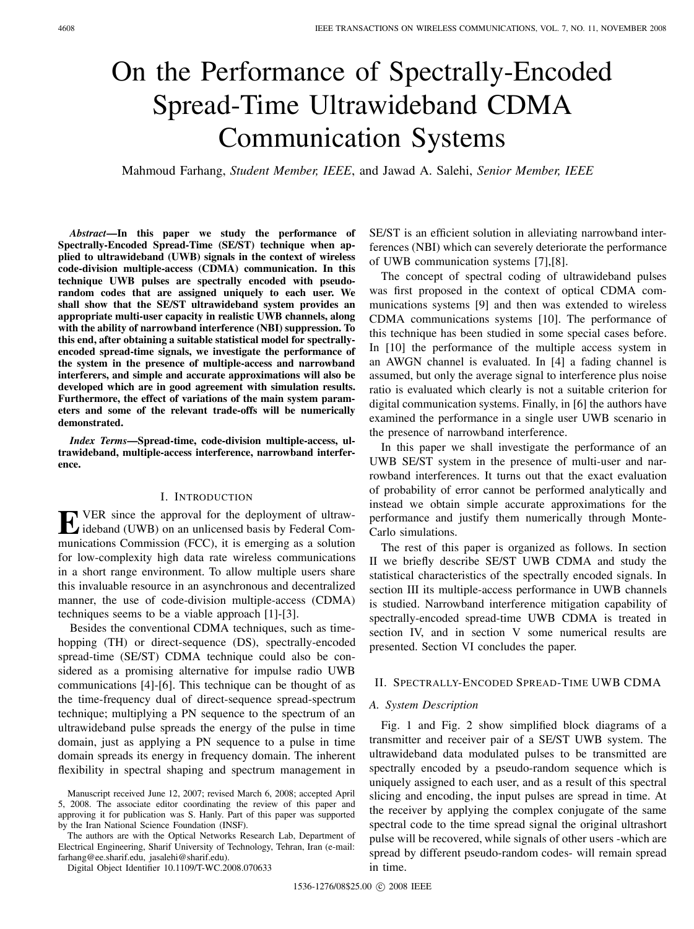# On the Performance of Spectrally-Encoded Spread-Time Ultrawideband CDMA Communication Systems

Mahmoud Farhang, *Student Member, IEEE*, and Jawad A. Salehi, *Senior Member, IEEE*

*Abstract***—In this paper we study the performance of Spectrally-Encoded Spread-Time (SE/ST) technique when applied to ultrawideband (UWB) signals in the context of wireless code-division multiple-access (CDMA) communication. In this technique UWB pulses are spectrally encoded with pseudorandom codes that are assigned uniquely to each user. We shall show that the SE/ST ultrawideband system provides an appropriate multi-user capacity in realistic UWB channels, along with the ability of narrowband interference (NBI) suppression. To this end, after obtaining a suitable statistical model for spectrallyencoded spread-time signals, we investigate the performance of the system in the presence of multiple-access and narrowband interferers, and simple and accurate approximations will also be developed which are in good agreement with simulation results. Furthermore, the effect of variations of the main system parameters and some of the relevant trade-offs will be numerically demonstrated.**

*Index Terms***—Spread-time, code-division multiple-access, ultrawideband, multiple-access interference, narrowband interference.**

## I. INTRODUCTION

**E** VER since the approval for the deployment of ultraw-<br>ideband (UWB) on an unlicensed basis by Federal Communications Commission (FCC), it is emerging as a solution for low-complexity high data rate wireless communications in a short range environment. To allow multiple users share this invaluable resource in an asynchronous and decentralized manner, the use of code-division multiple-access (CDMA) techniques seems to be a viable approach [1]-[3].

Besides the conventional CDMA techniques, such as timehopping (TH) or direct-sequence (DS), spectrally-encoded spread-time (SE/ST) CDMA technique could also be considered as a promising alternative for impulse radio UWB communications [4]-[6]. This technique can be thought of as the time-frequency dual of direct-sequence spread-spectrum technique; multiplying a PN sequence to the spectrum of an ultrawideband pulse spreads the energy of the pulse in time domain, just as applying a PN sequence to a pulse in time domain spreads its energy in frequency domain. The inherent flexibility in spectral shaping and spectrum management in

Manuscript received June 12, 2007; revised March 6, 2008; accepted April 5, 2008. The associate editor coordinating the review of this paper and approving it for publication was S. Hanly. Part of this paper was supported by the Iran National Science Foundation (INSF).

The authors are with the Optical Networks Research Lab, Department of Electrical Engineering, Sharif University of Technology, Tehran, Iran (e-mail: farhang@ee.sharif.edu, jasalehi@sharif.edu).

Digital Object Identifier 10.1109/T-WC.2008.070633

SE/ST is an efficient solution in alleviating narrowband interferences (NBI) which can severely deteriorate the performance of UWB communication systems [7],[8].

The concept of spectral coding of ultrawideband pulses was first proposed in the context of optical CDMA communications systems [9] and then was extended to wireless CDMA communications systems [10]. The performance of this technique has been studied in some special cases before. In [10] the performance of the multiple access system in an AWGN channel is evaluated. In [4] a fading channel is assumed, but only the average signal to interference plus noise ratio is evaluated which clearly is not a suitable criterion for digital communication systems. Finally, in [6] the authors have examined the performance in a single user UWB scenario in the presence of narrowband interference.

In this paper we shall investigate the performance of an UWB SE/ST system in the presence of multi-user and narrowband interferences. It turns out that the exact evaluation of probability of error cannot be performed analytically and instead we obtain simple accurate approximations for the performance and justify them numerically through Monte-Carlo simulations.

The rest of this paper is organized as follows. In section II we briefly describe SE/ST UWB CDMA and study the statistical characteristics of the spectrally encoded signals. In section III its multiple-access performance in UWB channels is studied. Narrowband interference mitigation capability of spectrally-encoded spread-time UWB CDMA is treated in section IV, and in section V some numerical results are presented. Section VI concludes the paper.

# II. SPECTRALLY-ENCODED SPREAD-TIME UWB CDMA

## *A. System Description*

Fig. 1 and Fig. 2 show simplified block diagrams of a transmitter and receiver pair of a SE/ST UWB system. The ultrawideband data modulated pulses to be transmitted are spectrally encoded by a pseudo-random sequence which is uniquely assigned to each user, and as a result of this spectral slicing and encoding, the input pulses are spread in time. At the receiver by applying the complex conjugate of the same spectral code to the time spread signal the original ultrashort pulse will be recovered, while signals of other users -which are spread by different pseudo-random codes- will remain spread in time.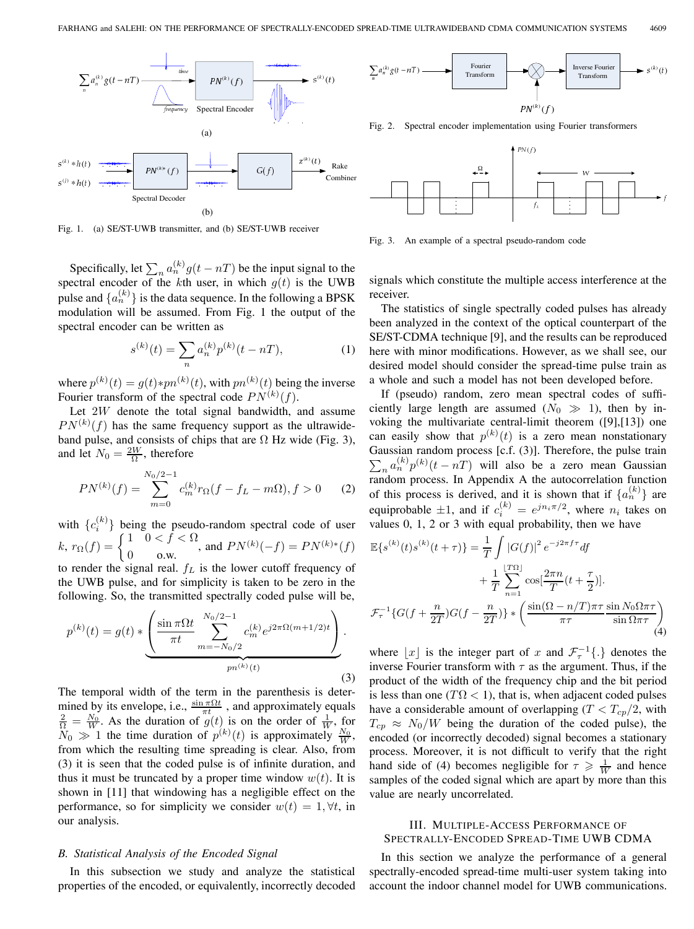

Fig. 1. (a) SE/ST-UWB transmitter, and (b) SE/ST-UWB receiver

Specifically, let  $\sum_{n} a_n^{(k)} g(t - nT)$  be the input signal to the spectral encoder of the kth user, in which  $g(t)$  is the UWB pulse and  $\{a_n^{(k)}\}$  is the data sequence. In the following a BPSK modulation will be assumed. From Fig. 1 the output of the spectral encoder can be written as

$$
s^{(k)}(t) = \sum_{n} a_n^{(k)} p^{(k)}(t - nT),
$$
\n(1)

where  $p^{(k)}(t) = g(t) * pn^{(k)}(t)$ , with  $pn^{(k)}(t)$  being the inverse Fourier transform of the spectral code  $PN^{(k)}(f)$ .

Let  $2W$  denote the total signal bandwidth, and assume  $PN^{(k)}(f)$  has the same frequency support as the ultrawideband pulse, and consists of chips that are  $\Omega$  Hz wide (Fig. 3), and let  $N_0 = \frac{2W}{\Omega}$ , therefore

$$
PN^{(k)}(f) = \sum_{m=0}^{N_0/2 - 1} c_m^{(k)} r_{\Omega}(f - f_L - m\Omega), f > 0 \tag{2}
$$

with  $\{c_i^{(k)}\}$  being the pseudo-random spectral code of user  $k, r_{\Omega}(f) = \begin{cases} 1 & 0 < f < \Omega \\ 0 & \text{o.w.} \end{cases}$ , and  $PN^{(k)}(-f) = PN^{(k)*}(f)$ to render the signal real.  $f_L$  is the lower cutoff frequency of

the UWB pulse, and for simplicity is taken to be zero in the following. So, the transmitted spectrally coded pulse will be,

$$
p^{(k)}(t) = g(t) * \underbrace{\left(\frac{\sin \pi \Omega t}{\pi t} \sum_{m=-N_0/2}^{N_0/2-1} c_m^{(k)} e^{j2\pi \Omega(m+1/2)t}\right)}_{pn^{(k)}(t)}.
$$
\n(3)

The temporal width of the term in the parenthesis is determined by its envelope, i.e.,  $\frac{\sin \pi \Omega t}{\pi t}$ , and approximately equals  $\frac{2}{\Omega} = \frac{N_0}{W}$ . As the duration of  $g(t)$  is on the order of  $\frac{1}{W}$ , for  $\widetilde{N}_0 \gg 1$  the time duration of  $p^{(k)}(t)$  is approximately  $\frac{N_0}{W}$ , from which the resulting time spreading is clear. Also, from (3) it is seen that the coded pulse is of infinite duration, and thus it must be truncated by a proper time window  $w(t)$ . It is shown in [11] that windowing has a negligible effect on the performance, so for simplicity we consider  $w(t)=1, \forall t$ , in our analysis.

#### *B. Statistical Analysis of the Encoded Signal*

In this subsection we study and analyze the statistical properties of the encoded, or equivalently, incorrectly decoded



Fig. 2. Spectral encoder implementation using Fourier transformers



Fig. 3. An example of a spectral pseudo-random code

signals which constitute the multiple access interference at the receiver.

The statistics of single spectrally coded pulses has already been analyzed in the context of the optical counterpart of the SE/ST-CDMA technique [9], and the results can be reproduced here with minor modifications. However, as we shall see, our desired model should consider the spread-time pulse train as a whole and such a model has not been developed before.

If (pseudo) random, zero mean spectral codes of sufficiently large length are assumed  $(N_0 \gg 1)$ , then by invoking the multivariate central-limit theorem ([9],[13]) one can easily show that  $p^{(k)}(t)$  is a zero mean nonstationary Gaussian random process [c.f. (3)]. Therefore, the pulse train  $\sum_{n} a_n^{(k)} p^{(k)}(t - nT)$  will also be a zero mean Gaussian random process. In Appendix A the autocorrelation function of this process is derived, and it is shown that if  $\{a_n^{(k)}\}$  are equiprobable  $\pm 1$ , and if  $c_i^{(k)} = e^{jn_i \pi/2}$ , where  $n_i$  takes on values 0, 1, 2 or 3 with equal probability, then we have

$$
\mathbb{E}\{s^{(k)}(t)s^{(k)}(t+\tau)\} = \frac{1}{T} \int |G(f)|^2 e^{-j2\pi f\tau} df
$$
  
+ 
$$
\frac{1}{T} \sum_{n=1}^{\lfloor T\Omega \rfloor} \cos\left[\frac{2\pi n}{T}(t+\frac{\tau}{2})\right].
$$
  

$$
\mathcal{F}_{\tau}^{-1} \{G(f+\frac{n}{2T})G(f-\frac{n}{2T})\} * \left(\frac{\sin(\Omega - n/T)\pi \tau}{\pi \tau} \frac{\sin N_0 \Omega \pi \tau}{\sin \Omega \pi \tau}\right)
$$
(4)

where |x| is the integer part of x and  $\mathcal{F}^{-1}_{\tau}$  {.} denotes the inverse Fourier transform with  $\tau$  as the argument. Thus, if the product of the width of the frequency chip and the bit period is less than one ( $T\Omega$  < 1), that is, when adjacent coded pulses have a considerable amount of overlapping  $(T < T_{cp}/2$ , with  $T_{cp} \approx N_0/W$  being the duration of the coded pulse), the encoded (or incorrectly decoded) signal becomes a stationary process. Moreover, it is not difficult to verify that the right hand side of (4) becomes negligible for  $\tau \geq \frac{1}{W}$  and hence samples of the coded signal which are apart by more than this value are nearly uncorrelated.

# III. MULTIPLE-ACCESS PERFORMANCE OF SPECTRALLY-ENCODED SPREAD-TIME UWB CDMA

In this section we analyze the performance of a general spectrally-encoded spread-time multi-user system taking into account the indoor channel model for UWB communications.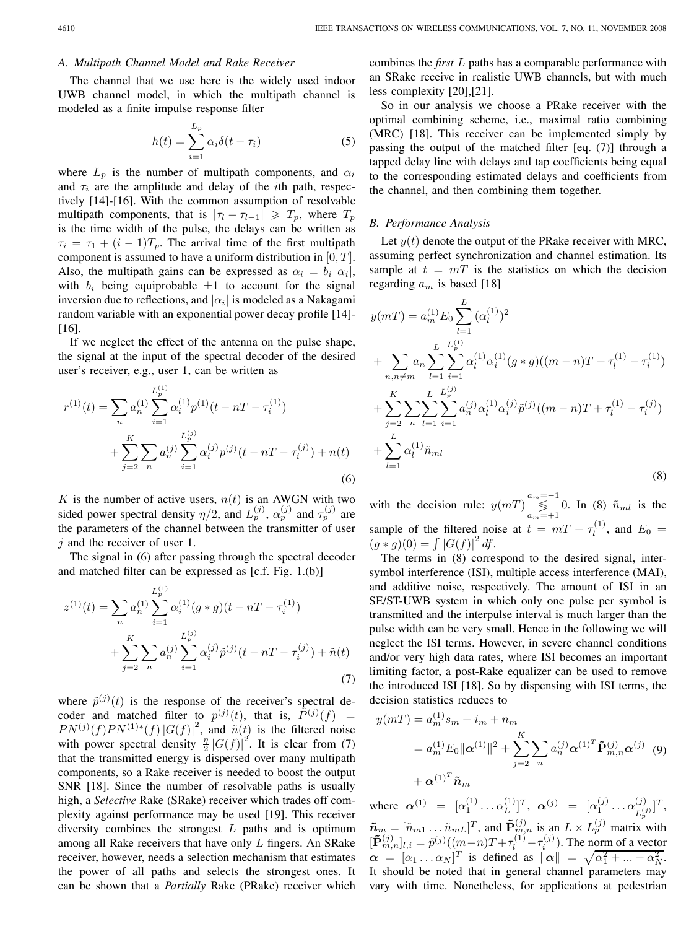## *A. Multipath Channel Model and Rake Receiver*

The channel that we use here is the widely used indoor UWB channel model, in which the multipath channel is modeled as a finite impulse response filter

$$
h(t) = \sum_{i=1}^{L_p} \alpha_i \delta(t - \tau_i)
$$
 (5)

where  $L_p$  is the number of multipath components, and  $\alpha_i$ and  $\tau_i$  are the amplitude and delay of the *i*th path, respectively [14]-[16]. With the common assumption of resolvable multipath components, that is  $|\tau_1 - \tau_{l-1}| \geq T_p$ , where  $T_p$ is the time width of the pulse, the delays can be written as  $\tau_i = \tau_1 + (i - 1)T_p$ . The arrival time of the first multipath component is assumed to have a uniform distribution in  $[0, T]$ . Also, the multipath gains can be expressed as  $\alpha_i = b_i |\alpha_i|$ , with  $b_i$  being equiprobable  $\pm 1$  to account for the signal inversion due to reflections, and  $|\alpha_i|$  is modeled as a Nakagami random variable with an exponential power decay profile [14]- [16].

If we neglect the effect of the antenna on the pulse shape, the signal at the input of the spectral decoder of the desired user's receiver, e.g., user 1, can be written as

$$
r^{(1)}(t) = \sum_{n} a_n^{(1)} \sum_{i=1}^{L_p^{(1)}} \alpha_i^{(1)} p^{(1)}(t - nT - \tau_i^{(1)})
$$
  
+ 
$$
\sum_{j=2}^{K} \sum_{n} a_n^{(j)} \sum_{i=1}^{L_p^{(j)}} \alpha_i^{(j)} p^{(j)}(t - nT - \tau_i^{(j)}) + n(t)
$$
  
(6)

K is the number of active users,  $n(t)$  is an AWGN with two sided power spectral density  $\eta/2$ , and  $L_p^{(j)}$ ,  $\alpha_p^{(j)}$  and  $\tau_p^{(j)}$  are the parameters of the channel between the transmitter of user  $i$  and the receiver of user 1.

The signal in (6) after passing through the spectral decoder and matched filter can be expressed as [c.f. Fig. 1.(b)]

$$
z^{(1)}(t) = \sum_{n} a_n^{(1)} \sum_{i=1}^{L_p^{(1)}} \alpha_i^{(1)} (g * g)(t - nT - \tau_i^{(1)})
$$
  
+ 
$$
\sum_{j=2}^{K} \sum_{n} a_n^{(j)} \sum_{i=1}^{L_p^{(j)}} \alpha_i^{(j)} \tilde{p}^{(j)}(t - nT - \tau_i^{(j)}) + \tilde{n}(t)
$$
  
(7)

where  $\tilde{p}^{(j)}(t)$  is the response of the receiver's spectral decoder and matched filter to  $p^{(j)}(t)$ , that is,  $\tilde{P}^{(j)}(f) =$  $PN^{(j)}(f)PN^{(1)*}(f) |G(f)|^2$ , and  $\tilde{n}(t)$  is the filtered noise with power spectral density  $\frac{n}{2} |G(f)|^2$ . It is clear from (7) that the transmitted energy is dispersed over many multipath components, so a Rake receiver is needed to boost the output SNR [18]. Since the number of resolvable paths is usually high, a *Selective* Rake (SRake) receiver which trades off complexity against performance may be used [19]. This receiver diversity combines the strongest  $L$  paths and is optimum among all Rake receivers that have only L fingers. An SRake receiver, however, needs a selection mechanism that estimates the power of all paths and selects the strongest ones. It can be shown that a *Partially* Rake (PRake) receiver which combines the *first* L paths has a comparable performance with an SRake receive in realistic UWB channels, but with much less complexity [20],[21].

So in our analysis we choose a PRake receiver with the optimal combining scheme, i.e., maximal ratio combining (MRC) [18]. This receiver can be implemented simply by passing the output of the matched filter [eq. (7)] through a tapped delay line with delays and tap coefficients being equal to the corresponding estimated delays and coefficients from the channel, and then combining them together.

## *B. Performance Analysis*

Let  $y(t)$  denote the output of the PRake receiver with MRC, assuming perfect synchronization and channel estimation. Its sample at  $t = mT$  is the statistics on which the decision regarding  $a_m$  is based [18]

$$
y(mT) = a_m^{(1)} E_0 \sum_{l=1}^{L} (\alpha_l^{(1)})^2
$$
  
+ 
$$
\sum_{n,n \neq m} a_n \sum_{l=1}^{L} \sum_{i=1}^{L_p^{(1)}} \alpha_l^{(1)} \alpha_i^{(1)} (g * g) ((m - n)T + \tau_l^{(1)} - \tau_i^{(1)})
$$
  
+ 
$$
\sum_{j=2}^{K} \sum_{n} \sum_{l=1}^{L} \sum_{i=1}^{L_p^{(j)}} a_n^{(j)} \alpha_l^{(1)} \alpha_i^{(j)} \tilde{p}^{(j)} ((m - n)T + \tau_l^{(1)} - \tau_i^{(j)})
$$
  
+ 
$$
\sum_{l=1}^{L} \alpha_l^{(1)} \tilde{n}_{ml}
$$
 (8)

with the decision rule:  $y(mT) \bigotimes_{a_m=-1}^{a_m=-1} 0$ . In (8)  $\tilde{n}_{ml}$  is the sample of the filtered noise at  $t = mT + \tau_l^{(1)}$ , and  $E_0 =$  $(g * g)(0) = \int |G(f)|^2 df.$ 

The terms in (8) correspond to the desired signal, intersymbol interference (ISI), multiple access interference (MAI), and additive noise, respectively. The amount of ISI in an SE/ST-UWB system in which only one pulse per symbol is transmitted and the interpulse interval is much larger than the pulse width can be very small. Hence in the following we will neglect the ISI terms. However, in severe channel conditions and/or very high data rates, where ISI becomes an important limiting factor, a post-Rake equalizer can be used to remove the introduced ISI [18]. So by dispensing with ISI terms, the decision statistics reduces to

$$
y(mT) = a_m^{(1)} s_m + i_m + n_m
$$
  
=  $a_m^{(1)} E_0 ||\boldsymbol{\alpha}^{(1)}||^2 + \sum_{j=2}^K \sum_n a_n^{(j)} {\boldsymbol{\alpha}^{(1)}}^T \tilde{\mathbf{P}}_{m,n}^{(j)} {\boldsymbol{\alpha}^{(j)}}$  (9)  
+  $\boldsymbol{\alpha}^{(1)}}^T \tilde{\boldsymbol{n}}_m$ 

where  $\alpha^{(1)} = [\alpha_1^{(1)} \dots \alpha_L^{(1)}]^T$ ,  $\alpha^{(j)} = [\alpha_1^{(j)} \dots \alpha_{L_p^{(j)}}^{(j)}]^T$ ,  $\tilde{\bm{n}}_m = [\tilde{n}_{m1} \dots \tilde{n}_{mL}]^T$ , and  $\tilde{\mathbf{P}}_{m,n}^{(j)}$  is an  $L \times L_p^{(j)}$  matrix with  $[\tilde{\bf{P}}_{m,n}^{(j)}]_{l,i} = \tilde{p}^{(j)}((m-n)T + \tau_l^{(1)} - \tau_i^{(j)})$ . The norm of a vector  $\alpha = [\alpha_1 \dots \alpha_N]^T$  is defined as  $\|\alpha\| = \sqrt{\alpha_1^2 + \dots + \alpha_N^2}$ . It should be noted that in general channel parameters may vary with time. Nonetheless, for applications at pedestrian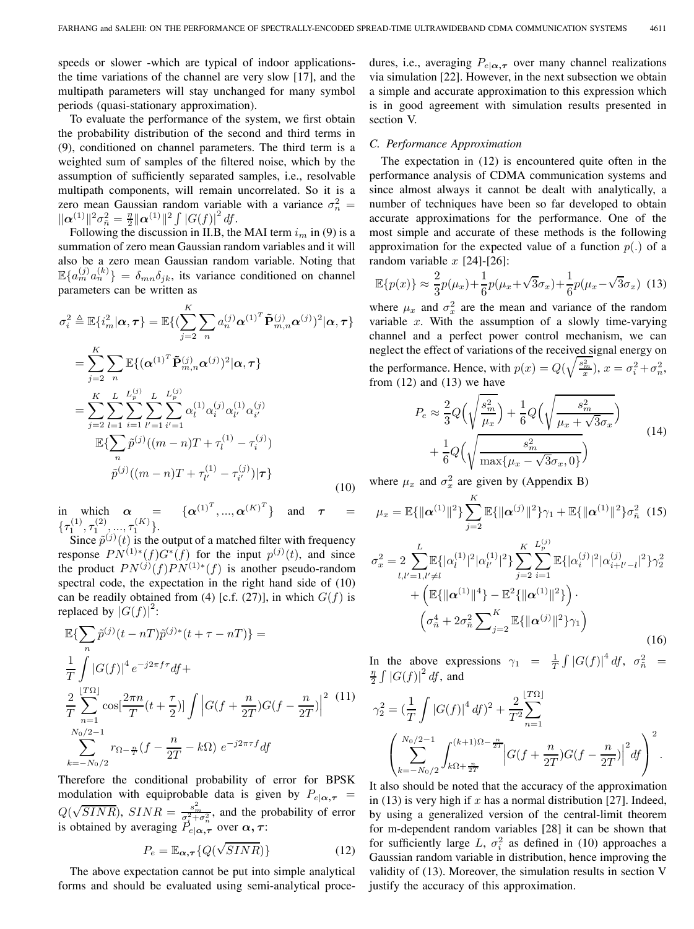speeds or slower -which are typical of indoor applicationsthe time variations of the channel are very slow [17], and the multipath parameters will stay unchanged for many symbol periods (quasi-stationary approximation).

To evaluate the performance of the system, we first obtain the probability distribution of the second and third terms in (9), conditioned on channel parameters. The third term is a weighted sum of samples of the filtered noise, which by the assumption of sufficiently separated samples, i.e., resolvable multipath components, will remain uncorrelated. So it is a zero mean Gaussian random variable with a variance  $\sigma_n^2$  =  $\|\alpha^{(1)}\|^2 \sigma_{\tilde{n}}^2 = \frac{\eta}{2} \|\alpha^{(1)}\|^2 \int |G(f)|^2 df.$ 

Following the discussion in II.B, the MAI term  $i_m$  in (9) is a summation of zero mean Gaussian random variables and it will also be a zero mean Gaussian random variable. Noting that  $\mathbb{E}\{a_m^{(j)}a_n^{(k)}\} = \delta_{mn}\delta_{jk}$ , its variance conditioned on channel parameters can be written as

$$
\sigma_i^2 \triangleq \mathbb{E}\{i_m^2 | \alpha, \tau\} = \mathbb{E}\{(\sum_{j=2}^K \sum_n a_n^{(j)} \alpha^{(1)^T} \tilde{\mathbf{P}}_{m,n}^{(j)} \alpha^{(j)})^2 | \alpha, \tau\}
$$
  
\n
$$
= \sum_{j=2}^K \sum_n \mathbb{E}\{(\alpha^{(1)^T} \tilde{\mathbf{P}}_{m,n}^{(j)} \alpha^{(j)})^2 | \alpha, \tau\}
$$
  
\n
$$
= \sum_{j=2}^K \sum_{l=1}^L \sum_{i=1}^{L_p^{(j)}} \sum_{l'=1}^{L_p^{(j)}} \alpha_l^{(1)} \alpha_{i'}^{(j)} \alpha_{l'}^{(1)} \alpha_{i'}^{(j)}
$$
  
\n
$$
\mathbb{E}\{\sum_n \tilde{p}^{(j)}((m-n)T + \tau_l^{(1)} - \tau_{i'}^{(j)})| \tau\}
$$
  
\n
$$
\tilde{p}^{(j)}((m-n)T + \tau_{l'}^{(1)} - \tau_{i'}^{(j)}) | \tau\}
$$
\n(10)

in which  $\alpha$  =  $\{\alpha^{(1)^T}, ..., \alpha^{(K)^T}\}\$  and  $\tau$  =  $\{\tau_1^{(1)},\tau_1^{(2)},...,\tau_1^{(K)}\}.$ 

Since  $\tilde{p}^{(j)}(t)$  is the output of a matched filter with frequency response  $PN^{(1)*}(f)G^{*}(f)$  for the input  $p^{(j)}(t)$ , and since the product  $PN^{(j)}(f)PN^{(1)*}(f)$  is another pseudo-random spectral code, the expectation in the right hand side of (10) can be readily obtained from (4) [c.f. (27)], in which  $G(f)$  is replaced by  $|G(f)|^2$ :

$$
\mathbb{E}\left\{\sum_{n} \tilde{p}^{(j)}(t - nT)\tilde{p}^{(j)*}(t + \tau - nT)\right\} =
$$
\n
$$
\frac{1}{T} \int |G(f)|^4 e^{-j2\pi f\tau} df +
$$
\n
$$
\frac{2}{T} \sum_{n=1}^{\lfloor T\Omega \rfloor} \cos\left[\frac{2\pi n}{T} (t + \frac{\tau}{2})\right] \int \left|G(f + \frac{n}{2T})G(f - \frac{n}{2T})\right|^2 \frac{(11)}{\sqrt{N_0/2 - 1}} \exp\left(-\frac{n}{2T}\right) \int \left|G(f + \frac{n}{2T})G(f - \frac{n}{2T})\right|^2 \frac{(11)}{\sqrt{N_0/2 - 1}}
$$
\n
$$
\sum_{k=-N_0/2}^{N_0/2} r_{\Omega - \frac{n}{T}}(f - \frac{n}{2T} - k\Omega) e^{-j2\pi \tau f} df
$$

Therefore the conditional probability of error for BPSK modulation with equiprobable data is given by  $P_{e|\alpha,\tau}$  =  $Q(\sqrt{SINR})$ ,  $SINR = \frac{s_m^2}{\sigma_s^2 + \sigma_n^2}$ , and the probability of error is obtained by averaging  $P_{e|\alpha,\tau}$  over  $\alpha, \tau$ :

$$
P_e = \mathbb{E}_{\alpha, \tau} \{ Q(\sqrt{SINR}) \}
$$
 (12)

The above expectation cannot be put into simple analytical forms and should be evaluated using semi-analytical procedures, i.e., averaging  $P_{e|\alpha,\tau}$  over many channel realizations via simulation [22]. However, in the next subsection we obtain a simple and accurate approximation to this expression which is in good agreement with simulation results presented in section V.

## *C. Performance Approximation*

The expectation in (12) is encountered quite often in the performance analysis of CDMA communication systems and since almost always it cannot be dealt with analytically, a number of techniques have been so far developed to obtain accurate approximations for the performance. One of the most simple and accurate of these methods is the following approximation for the expected value of a function  $p(.)$  of a random variable  $x$  [24]-[26]:

$$
\mathbb{E}\{p(x)\} \approx \frac{2}{3}p(\mu_x) + \frac{1}{6}p(\mu_x + \sqrt{3}\sigma_x) + \frac{1}{6}p(\mu_x - \sqrt{3}\sigma_x)
$$
 (13)

where  $\mu_x$  and  $\sigma_x^2$  are the mean and variance of the random variable  $x$ . With the assumption of a slowly time-varying channel and a perfect power control mechanism, we can neglect the effect of variations of the received signal energy on the performance. Hence, with  $p(x) = Q(\sqrt{\frac{s_m^2}{x}}), x = \sigma_i^2 + \sigma_n^2$ , from  $(12)$  and  $(13)$  we have

$$
P_e \approx \frac{2}{3} Q\left(\sqrt{\frac{s_m^2}{\mu_x}}\right) + \frac{1}{6} Q\left(\sqrt{\frac{s_m^2}{\mu_x + \sqrt{3}\sigma_x}}\right) + \frac{1}{6} Q\left(\sqrt{\frac{s_m^2}{\max\{\mu_x - \sqrt{3}\sigma_x, 0\}}}\right)
$$
(14)

where  $\mu_x$  and  $\sigma_x^2$  are given by (Appendix B)

$$
\mu_x = \mathbb{E}\{\|\alpha^{(1)}\|^2\} \sum_{j=2}^K \mathbb{E}\{\|\alpha^{(j)}\|^2\} \gamma_1 + \mathbb{E}\{\|\alpha^{(1)}\|^2\} \sigma_{\tilde{n}}^2 \quad (15)
$$
  

$$
\sigma_x^2 = 2 \sum_{l,l'=1,l'\neq l}^L \mathbb{E}\{\alpha_l^{(1)}|^2|\alpha_{l'}^{(1)}|^2\} \sum_{j=2}^K \sum_{i=1}^L \mathbb{E}\{|\alpha_i^{(j)}|^2|\alpha_{i+l'-l}^{(j)}|^2\} \gamma_2^2
$$

$$
+ \left(\mathbb{E}\{\|\alpha^{(1)}\|^4\} - \mathbb{E}^2\{\|\alpha^{(1)}\|^2\}\right) \cdot \left(\sigma_{\tilde{n}}^4 + 2\sigma_{\tilde{n}}^2 \sum_{j=2}^K \mathbb{E}\{\|\alpha^{(j)}\|^2\} \gamma_1\right)
$$
(16)

In the above expressions  $\gamma_1 = \frac{1}{T} \int |G(f)|^4 df$ ,  $\sigma_{\tilde{n}}^2 = \frac{n}{2} \int |G(f)|^2 df$ , and

$$
\gamma_2^2 = \left(\frac{1}{T} \int |G(f)|^4 df\right)^2 + \frac{2}{T^2} \sum_{n=1}^{\lfloor T\Omega \rfloor} \left(\sum_{k=-N_0/2}^{N_0/2-1} \int_{k\Omega + \frac{n}{2T}}^{(k+1)\Omega - \frac{n}{2T}} \left| G(f + \frac{n}{2T}) G(f - \frac{n}{2T}) \right|^2 df\right)^2.
$$

It also should be noted that the accuracy of the approximation in (13) is very high if x has a normal distribution [27]. Indeed, by using a generalized version of the central-limit theorem for m-dependent random variables [28] it can be shown that for sufficiently large L,  $\sigma_i^2$  as defined in (10) approaches a Gaussian random variable in distribution, hence improving the validity of (13). Moreover, the simulation results in section V justify the accuracy of this approximation.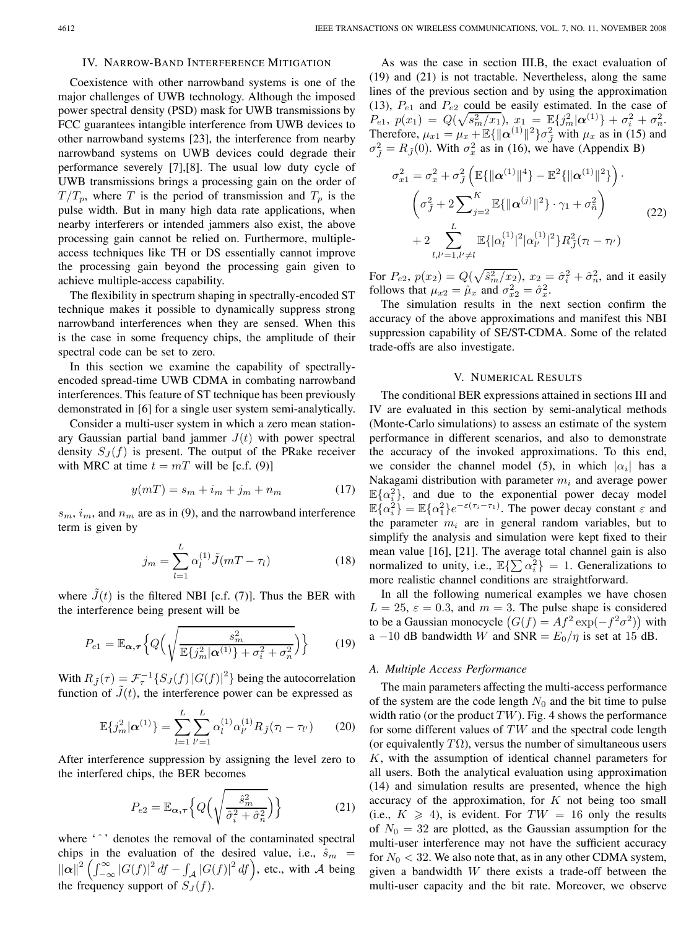#### IV. NARROW-BAND INTERFERENCE MITIGATION

Coexistence with other narrowband systems is one of the major challenges of UWB technology. Although the imposed power spectral density (PSD) mask for UWB transmissions by FCC guarantees intangible interference from UWB devices to other narrowband systems [23], the interference from nearby narrowband systems on UWB devices could degrade their performance severely [7],[8]. The usual low duty cycle of UWB transmissions brings a processing gain on the order of  $T/T_p$ , where T is the period of transmission and  $T_p$  is the pulse width. But in many high data rate applications, when nearby interferers or intended jammers also exist, the above processing gain cannot be relied on. Furthermore, multipleaccess techniques like TH or DS essentially cannot improve the processing gain beyond the processing gain given to achieve multiple-access capability.

The flexibility in spectrum shaping in spectrally-encoded ST technique makes it possible to dynamically suppress strong narrowband interferences when they are sensed. When this is the case in some frequency chips, the amplitude of their spectral code can be set to zero.

In this section we examine the capability of spectrallyencoded spread-time UWB CDMA in combating narrowband interferences. This feature of ST technique has been previously demonstrated in [6] for a single user system semi-analytically.

Consider a multi-user system in which a zero mean stationary Gaussian partial band jammer  $J(t)$  with power spectral density  $S_J(f)$  is present. The output of the PRake receiver with MRC at time  $t = mT$  will be [c.f. (9)]

$$
y(mT) = s_m + i_m + j_m + n_m \tag{17}
$$

 $s_m$ ,  $i_m$ , and  $n_m$  are as in (9), and the narrowband interference term is given by

$$
j_m = \sum_{l=1}^{L} \alpha_l^{(1)} \tilde{J}(mT - \tau_l)
$$
 (18)

where  $\tilde{J}(t)$  is the filtered NBI [c.f. (7)]. Thus the BER with the interference being present will be

$$
P_{e1} = \mathbb{E}_{\boldsymbol{\alpha},\boldsymbol{\tau}} \left\{ Q \left( \sqrt{\frac{s_m^2}{\mathbb{E}\left\{ j_m^2 | \boldsymbol{\alpha}^{(1)} \right\} + \sigma_i^2 + \sigma_n^2}} \right) \right\}
$$
(19)

With  $R_{\tilde{J}}(\tau) = \mathcal{F}_{\tau}^{-1} \{ S_J(f) |G(f)|^2 \}$  being the autocorrelation function of  $\tilde{J}(t)$ , the interference power can be expressed as

$$
\mathbb{E}\{j_m^2|\alpha^{(1)}\} = \sum_{l=1}^L \sum_{l'=1}^L \alpha_l^{(1)} \alpha_{l'}^{(1)} R_{\tilde{J}}(\tau_l - \tau_{l'})
$$
 (20)

After interference suppression by assigning the level zero to the interfered chips, the BER becomes

$$
P_{e2} = \mathbb{E}_{\alpha,\tau} \left\{ Q \left( \sqrt{\frac{\hat{s}_m^2}{\hat{\sigma}_i^2 + \hat{\sigma}_n^2}} \right) \right\}
$$
 (21)

where '<sup> $\cdot$ </sup>' denotes the removal of the contaminated spectral chips in the evaluation of the desired value, i.e.,  $\hat{s}_m$  =  $\|\alpha\|^2 \left(\int_{-\infty}^{\infty} |G(f)|^2 df - \int_{\mathcal{A}} |G(f)|^2 df\right)$ , etc., with A being the frequency support of  $S_J(f)$ .

As was the case in section III.B, the exact evaluation of (19) and (21) is not tractable. Nevertheless, along the same lines of the previous section and by using the approximation (13),  $P_{e1}$  and  $P_{e2}$  could be easily estimated. In the case of  $P_{e1}, p(x_1) = Q(\sqrt{s_m^2/x_1}), x_1 = \mathbb{E}\{j_m^2|\boldsymbol{\alpha}^{(1)}\} + \sigma_i^2 + \sigma_n^2.$ Therefore,  $\mu_{x1} = \mu_x + \mathbb{E}\{\|\alpha^{(1)}\|^2\} \sigma_{\tilde{J}}^2$  with  $\mu_x$  as in (15) and  $\sigma_{\tilde{J}}^2 = R_{\tilde{J}}(0)$ . With  $\sigma_x^2$  as in (16), we have (Appendix B)

$$
\sigma_{x1}^2 = \sigma_x^2 + \sigma_{\tilde{J}}^2 \left( \mathbb{E} \{ ||\boldsymbol{\alpha}^{(1)}||^4 \} - \mathbb{E}^2 \{ ||\boldsymbol{\alpha}^{(1)}||^2 \} \right) \cdot \left( \sigma_{\tilde{J}}^2 + 2 \sum_{j=2}^K \mathbb{E} \{ ||\boldsymbol{\alpha}^{(j)}||^2 \} \cdot \gamma_1 + \sigma_{\tilde{n}}^2 \right) \qquad (22)
$$

$$
+ 2 \sum_{l,l'=1,l'\neq l}^L \mathbb{E} \{ |\alpha_l^{(1)}|^2 |\alpha_{l'}^{(1)}|^2 \} R_{\tilde{J}}^2 (\tau_l - \tau_{l'})
$$

For  $P_{e2}$ ,  $p(x_2) = Q(\sqrt{\hat{s}_m^2/x_2})$ ,  $x_2 = \hat{\sigma}_i^2 + \hat{\sigma}_n^2$ , and it easily follows that  $\mu_{x2} = \hat{\mu}_x$  and  $\sigma_{x2}^2 = \hat{\sigma}_x^2$ .

The simulation results in the next section confirm the accuracy of the above approximations and manifest this NBI suppression capability of SE/ST-CDMA. Some of the related trade-offs are also investigate.

## V. NUMERICAL RESULTS

The conditional BER expressions attained in sections III and IV are evaluated in this section by semi-analytical methods (Monte-Carlo simulations) to assess an estimate of the system performance in different scenarios, and also to demonstrate the accuracy of the invoked approximations. To this end, we consider the channel model (5), in which  $|\alpha_i|$  has a Nakagami distribution with parameter  $m_i$  and average power  $\mathbb{E}\{\alpha_i^2\}$ , and due to the exponential power decay model  $\mathbb{E} \{\alpha_i^2\} = \mathbb{E} \{\alpha_1^2\} e^{-\varepsilon(\tau_i - \tau_1)}$ . The power decay constant  $\varepsilon$  and the parameter  $m_i$  are in general random variables, but to simplify the analysis and simulation were kept fixed to their mean value [16], [21]. The average total channel gain is also normalized to unity, i.e.,  $\mathbb{E}\left\{\sum \alpha_i^2\right\} = 1$ . Generalizations to more realistic channel conditions are straightforward.

In all the following numerical examples we have chosen  $L = 25$ ,  $\varepsilon = 0.3$ , and  $m = 3$ . The pulse shape is considered to be a Gaussian monocycle  $(G(f) = Af^2 \exp(-f^2 \sigma^2))$  with a −10 dB bandwidth W and SNR =  $E_0/\eta$  is set at 15 dB.

## *A. Multiple Access Performance*

The main parameters affecting the multi-access performance of the system are the code length  $N_0$  and the bit time to pulse width ratio (or the product  $TW$ ). Fig. 4 shows the performance for some different values of  $TW$  and the spectral code length (or equivalently  $T\Omega$ ), versus the number of simultaneous users K, with the assumption of identical channel parameters for all users. Both the analytical evaluation using approximation (14) and simulation results are presented, whence the high accuracy of the approximation, for  $K$  not being too small (i.e.,  $K \geq 4$ ), is evident. For  $TW = 16$  only the results of  $N_0 = 32$  are plotted, as the Gaussian assumption for the multi-user interference may not have the sufficient accuracy for  $N_0 < 32$ . We also note that, as in any other CDMA system, given a bandwidth  $W$  there exists a trade-off between the multi-user capacity and the bit rate. Moreover, we observe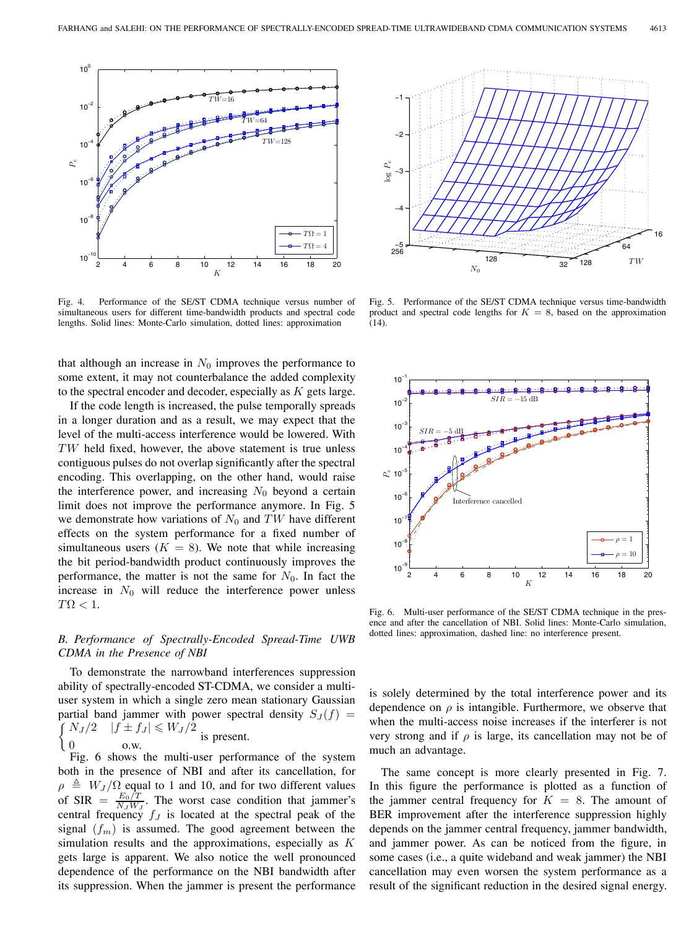

Fig. 4. Performance of the SE/ST CDMA technique versus number of simultaneous users for different time-bandwidth products and spectral code lengths. Solid lines: Monte-Carlo simulation, dotted lines: approximation

that although an increase in  $N_0$  improves the performance to some extent, it may not counterbalance the added complexity to the spectral encoder and decoder, especially as  $K$  gets large.

If the code length is increased, the pulse temporally spreads in a longer duration and as a result, we may expect that the level of the multi-access interference would be lowered. With TW held fixed, however, the above statement is true unless contiguous pulses do not overlap significantly after the spectral encoding. This overlapping, on the other hand, would raise the interference power, and increasing  $N_0$  beyond a certain limit does not improve the performance anymore. In Fig. 5 we demonstrate how variations of  $N_0$  and TW have different effects on the system performance for a fixed number of simultaneous users  $(K = 8)$ . We note that while increasing the bit period-bandwidth product continuously improves the performance, the matter is not the same for  $N_0$ . In fact the increase in  $N_0$  will reduce the interference power unless  $T\Omega < 1$ .

# *B. Performance of Spectrally-Encoded Spread-Time UWB CDMA in the Presence of NBI*

To demonstrate the narrowband interferences suppression ability of spectrally-encoded ST-CDMA, we consider a multiuser system in which a single zero mean stationary Gaussian partial band jammer with power spectral density  $S_J(f)$  =  $\int N_J/2 \quad |f \pm f_J| \leqslant W_J/2$  $0$  o.w.  $\frac{1}{2}$  o.w.

Fig. 6 shows the multi-user performance of the system both in the presence of NBI and after its cancellation, for  $\rho \triangleq W_J/\Omega$  equal to 1 and 10, and for two different values of SIR =  $\frac{E_0/T}{N_J W_J}$ . The worst case condition that jammer's central frequency  $f_J$  is located at the spectral peak of the signal  $(f_m)$  is assumed. The good agreement between the simulation results and the approximations, especially as  $K$ gets large is apparent. We also notice the well pronounced dependence of the performance on the NBI bandwidth after its suppression. When the jammer is present the performance



Fig. 5. Performance of the SE/ST CDMA technique versus time-bandwidth product and spectral code lengths for  $K = 8$ , based on the approximation (14).



Fig. 6. Multi-user performance of the SE/ST CDMA technique in the presence and after the cancellation of NBI. Solid lines: Monte-Carlo simulation, dotted lines: approximation, dashed line: no interference present.

is solely determined by the total interference power and its dependence on  $\rho$  is intangible. Furthermore, we observe that when the multi-access noise increases if the interferer is not very strong and if  $\rho$  is large, its cancellation may not be of much an advantage.

The same concept is more clearly presented in Fig. 7. In this figure the performance is plotted as a function of the jammer central frequency for  $K = 8$ . The amount of BER improvement after the interference suppression highly depends on the jammer central frequency, jammer bandwidth, and jammer power. As can be noticed from the figure, in some cases (i.e., a quite wideband and weak jammer) the NBI cancellation may even worsen the system performance as a result of the significant reduction in the desired signal energy.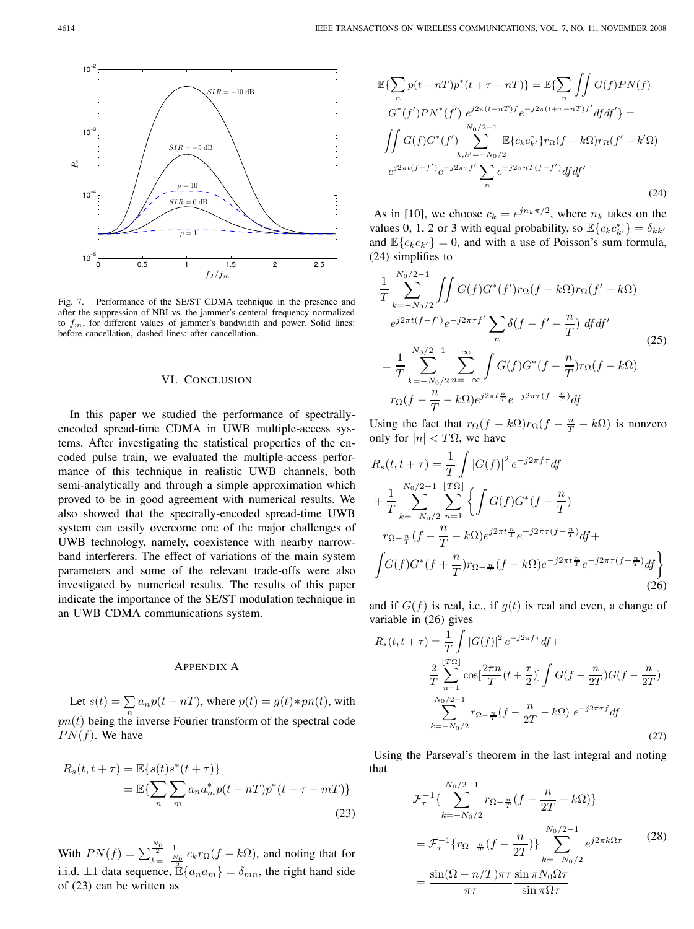

Fig. 7. Performance of the SE/ST CDMA technique in the presence and after the suppression of NBI vs. the jammer's centeral frequency normalized to  $f_m$ , for different values of jammer's bandwidth and power. Solid lines: before cancellation, dashed lines: after cancellation.

## VI. CONCLUSION

In this paper we studied the performance of spectrallyencoded spread-time CDMA in UWB multiple-access systems. After investigating the statistical properties of the encoded pulse train, we evaluated the multiple-access performance of this technique in realistic UWB channels, both semi-analytically and through a simple approximation which proved to be in good agreement with numerical results. We also showed that the spectrally-encoded spread-time UWB system can easily overcome one of the major challenges of UWB technology, namely, coexistence with nearby narrowband interferers. The effect of variations of the main system parameters and some of the relevant trade-offs were also investigated by numerical results. The results of this paper indicate the importance of the SE/ST modulation technique in an UWB CDMA communications system.

## APPENDIX A

Let  $s(t) = \sum a_n p(t - nT)$ , where  $p(t) = g(t) * pn(t)$ , with  $pn(t)$  being the inverse Fourier transform of the spectral code  $PN(f)$ . We have

$$
R_s(t, t + \tau) = \mathbb{E}\{s(t)s^*(t + \tau)\}
$$
  
= 
$$
\mathbb{E}\{\sum_n \sum_m a_n a_m^* p(t - nT) p^*(t + \tau - mT)\}
$$
 (23)

With  $PN(f) = \sum_{k=1}^{N_0} {1 \over N}$  $\frac{1}{k} = -\frac{N_0}{2} c_k r_\Omega(f - k\Omega)$ , and noting that for i.i.d.  $\pm 1$  data sequence,  $\mathbb{E}\{a_n a_m\} = \delta_{mn}$ , the right hand side of (23) can be written as

$$
\mathbb{E}\left\{\sum_{n} p(t - nT)p^{*}(t + \tau - nT)\right\} = \mathbb{E}\left\{\sum_{n} \int \int G(f)PN(f) \ G^{*}(f')PN^{*}(f') e^{j2\pi(t - nT)f} e^{-j2\pi(t + \tau - nT)f'} df df'\right\} =
$$
\n
$$
\iint_{k, k' = -N_{0}/2} G(f)G^{*}(f') \sum_{k, k' = -N_{0}/2}^{N_{0}/2 - 1} \mathbb{E}\left\{c_{k}c_{k'}^{*}\right\}r_{\Omega}(f - k\Omega)r_{\Omega}(f' - k'\Omega)
$$
\n
$$
e^{j2\pi t(f - f')} e^{-j2\pi \tau f'} \sum_{n} e^{-j2\pi nT(f - f')} df df'
$$
\n(24)

As in [10], we choose  $c_k = e^{j n_k \pi/2}$ , where  $n_k$  takes on the values 0, 1, 2 or 3 with equal probability, so  $\mathbb{E}\lbrace c_k c_{k'}^* \rbrace = \delta_{kk'}$ and  $\mathbb{E}\lbrace c_k c_{k'} \rbrace = 0$ , and with a use of Poisson's sum formula, (24) simplifies to

$$
\frac{1}{T} \sum_{k=-N_0/2}^{N_0/2-1} \iint G(f)G^*(f')r_{\Omega}(f-k\Omega)r_{\Omega}(f'-k\Omega)
$$
\n
$$
e^{j2\pi t(f-f')}e^{-j2\pi rf'} \sum_{n} \delta(f-f'-\frac{n}{T}) df df'
$$
\n
$$
= \frac{1}{T} \sum_{k=-N_0/2}^{N_0/2-1} \sum_{n=-\infty}^{\infty} \int G(f)G^*(f-\frac{n}{T})r_{\Omega}(f-k\Omega)
$$
\n
$$
r_{\Omega}(f-\frac{n}{T}-k\Omega)e^{j2\pi t}\bar{\tau}e^{-j2\pi\tau(f-\frac{n}{T})} df
$$
\n(25)

Using the fact that  $r_{\Omega}(f - k\Omega)r_{\Omega}(f - \frac{n}{T} - k\Omega)$  is nonzero only for  $|n| < T\Omega$ , we have

$$
R_s(t, t + \tau) = \frac{1}{T} \int |G(f)|^2 e^{-j2\pi f \tau} df
$$
  
+ 
$$
\frac{1}{T} \sum_{k=-N_0/2}^{N_0/2-1} \sum_{n=1}^{\lfloor T\Omega \rfloor} \left\{ \int G(f) G^*(f - \frac{n}{T})
$$
  

$$
r_{\Omega - \frac{n}{T}} (f - \frac{n}{T} - k\Omega) e^{j2\pi t \frac{n}{T}} e^{-j2\pi \tau (f - \frac{n}{T})} df +
$$
  

$$
\int G(f) G^*(f + \frac{n}{T}) r_{\Omega - \frac{n}{T}} (f - k\Omega) e^{-j2\pi t \frac{n}{T}} e^{-j2\pi \tau (f + \frac{n}{T})} df \right\}
$$
(26)

and if  $G(f)$  is real, i.e., if  $g(t)$  is real and even, a change of variable in (26) gives

$$
R_s(t, t + \tau) = \frac{1}{T} \int |G(f)|^2 e^{-j2\pi f \tau} df +
$$
  

$$
\frac{2}{T} \sum_{n=1}^{\lfloor T\Omega \rfloor} \cos[\frac{2\pi n}{T} (t + \frac{\tau}{2})] \int G(f + \frac{n}{2T}) G(f - \frac{n}{2T})
$$
  

$$
\sum_{k=-N_0/2}^{N_0/2-1} r_{\Omega - \frac{n}{T}} (f - \frac{n}{2T} - k\Omega) e^{-j2\pi \tau f} df
$$
 (27)

Using the Parseval's theorem in the last integral and noting that

$$
\mathcal{F}_{\tau}^{-1}\left\{\sum_{k=-N_0/2}^{N_0/2-1} r_{\Omega - \frac{n}{T}}(f - \frac{n}{2T} - k\Omega)\right\}
$$
  
=  $\mathcal{F}_{\tau}^{-1}\left\{r_{\Omega - \frac{n}{T}}(f - \frac{n}{2T})\right\}\sum_{k=-N_0/2}^{N_0/2-1} e^{j2\pi k\Omega \tau}$  (28)  
=  $\frac{\sin((\Omega - n/T)\pi\tau)}{\pi\tau} \frac{\sin \pi N_0 \Omega\tau}{\sin \pi \Omega\tau}$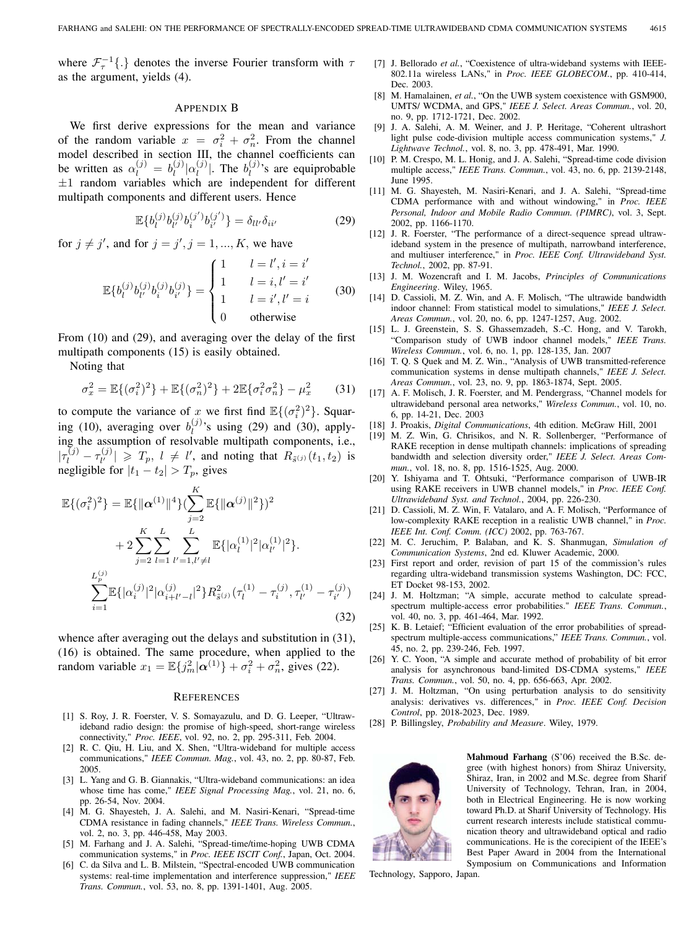where  $\mathcal{F}_{\tau}^{-1}\{\cdot\}$  denotes the inverse Fourier transform with  $\tau$ as the argument, yields (4).

#### APPENDIX B

We first derive expressions for the mean and variance of the random variable  $x = \sigma_i^2 + \sigma_n^2$ . From the channel model described in section III, the channel coefficients can be written as  $\alpha_l^{(j)} = b_l^{(j)} |\alpha_l^{(j)}|$ . The  $b_l^{(j)}$ 's are equiprobable  $\pm 1$  random variables which are independent for different multipath components and different users. Hence

$$
\mathbb{E}\{b_l^{(j)}b_{l'}^{(j)}b_i^{(j')}b_{i'}^{(j')}\} = \delta_{ll'}\delta_{ii'}
$$
 (29)

for  $j \neq j'$ , and for  $j = j', j = 1, ..., K$ , we have

$$
\mathbb{E}\{b_l^{(j)}b_{l'}^{(j)}b_i^{(j)}b_{i'}^{(j)}\} = \begin{cases} 1 & l = l', i = i' \\ 1 & l = i, l' = i' \\ 1 & l = i', l' = i \\ 0 & \text{otherwise} \end{cases}
$$
(30)

From (10) and (29), and averaging over the delay of the first multipath components (15) is easily obtained.

Noting that

$$
\sigma_x^2 = \mathbb{E}\{(\sigma_i^2)^2\} + \mathbb{E}\{(\sigma_n^2)^2\} + 2\mathbb{E}\{\sigma_i^2 \sigma_n^2\} - \mu_x^2 \tag{31}
$$

to compute the variance of x we first find  $\mathbb{E}\{(\sigma_i^2)^2\}$ . Squaring (10), averaging over  $b_l^{(j)}$ 's using (29) and (30), applying the assumption of resolvable multipath components, i.e.,  $|\tau_l^{(j)} - \tau_{l'}^{(j)}| \geq T_p$ ,  $l \neq l'$ , and noting that  $R_{\tilde{s}^{(j)}}(t_1, t_2)$  is negligible for  $|t_1 - t_2| > T_p$ , gives

$$
\mathbb{E}\{(\sigma_i^2)^2\} = \mathbb{E}\{\|\alpha^{(1)}\|^4\} \left(\sum_{j=2}^K \mathbb{E}\{\|\alpha^{(j)}\|^2\}\right)^2
$$
  
+  $2 \sum_{j=2}^K \sum_{l=1}^L \sum_{l'=1,l'\neq l}^L \mathbb{E}\{\alpha_l^{(1)}|^2 |\alpha_{l'}^{(1)}|^2\}.$   

$$
\sum_{i=1}^{L_{p}^{(j)}} \mathbb{E}\{|\alpha_i^{(j)}|^2 |\alpha_{i+l'-l}^{(j)}|^2\} R_{\tilde{s}(j)}^2(\tau_l^{(1)} - \tau_i^{(j)}, \tau_{l'}^{(1)} - \tau_{i'}^{(j)})
$$
  
(32)

whence after averaging out the delays and substitution in (31), (16) is obtained. The same procedure, when applied to the random variable  $x_1 = \mathbb{E}\{j_m^2 | \alpha^{(1)}\} + \sigma_i^2 + \sigma_m^2$ , gives (22).

#### **REFERENCES**

- [1] S. Roy, J. R. Foerster, V. S. Somayazulu, and D. G. Leeper, "Ultrawideband radio design: the promise of high-speed, short-range wireless connectivity," *Proc. IEEE*, vol. 92, no. 2, pp. 295-311, Feb. 2004.
- [2] R. C. Qiu, H. Liu, and X. Shen, "Ultra-wideband for multiple access communications," *IEEE Commun. Mag.*, vol. 43, no. 2, pp. 80-87, Feb. 2005.
- [3] L. Yang and G. B. Giannakis, "Ultra-wideband communications: an idea whose time has come," *IEEE Signal Processing Mag.*, vol. 21, no. 6, pp. 26-54, Nov. 2004.
- [4] M. G. Shavesteh, J. A. Salehi, and M. Nasiri-Kenari, "Spread-time CDMA resistance in fading channels," *IEEE Trans. Wireless Commun.*, vol. 2, no. 3, pp. 446-458, May 2003.
- [5] M. Farhang and J. A. Salehi, "Spread-time/time-hoping UWB CDMA communication systems," in *Proc. IEEE ISCIT Conf.*, Japan, Oct. 2004.
- [6] C. da Silva and L. B. Milstein, "Spectral-encoded UWB communication systems: real-time implementation and interference suppression," *IEEE Trans. Commun.*, vol. 53, no. 8, pp. 1391-1401, Aug. 2005.
- [7] J. Bellorado *et al.*, "Coexistence of ultra-wideband systems with IEEE-802.11a wireless LANs," in *Proc. IEEE GLOBECOM.*, pp. 410-414, Dec. 2003.
- [8] M. Hamalainen, *et al.*, "On the UWB system coexistence with GSM900, UMTS/ WCDMA, and GPS," *IEEE J. Select. Areas Commun.*, vol. 20, no. 9, pp. 1712-1721, Dec. 2002.
- [9] J. A. Salehi, A. M. Weiner, and J. P. Heritage, "Coherent ultrashort light pulse code-division multiple access communication systems," *J. Lightwave Technol.*, vol. 8, no. 3, pp. 478-491, Mar. 1990.
- [10] P. M. Crespo, M. L. Honig, and J. A. Salehi, "Spread-time code division multiple access," *IEEE Trans. Commun.*, vol. 43, no. 6, pp. 2139-2148, June 1995.
- [11] M. G. Shayesteh, M. Nasiri-Kenari, and J. A. Salehi, "Spread-time CDMA performance with and without windowing," in *Proc. IEEE Personal, Indoor and Mobile Radio Commun. (PIMRC)*, vol. 3, Sept. 2002, pp. 1166-1170.
- [12] J. R. Foerster, "The performance of a direct-sequence spread ultrawideband system in the presence of multipath, narrowband interference, and multiuser interference," in *Proc. IEEE Conf. Ultrawideband Syst. Technol.*, 2002, pp. 87-91.
- [13] J. M. Wozencraft and I. M. Jacobs, *Principles of Communications Engineering*. Wiley, 1965.
- [14] D. Cassioli, M. Z. Win, and A. F. Molisch, "The ultrawide bandwidth indoor channel: From statistical model to simulations," *IEEE J. Select. Areas Commun.*, vol. 20, no. 6, pp. 1247-1257, Aug. 2002.
- [15] L. J. Greenstein, S. S. Ghassemzadeh, S.-C. Hong, and V. Tarokh, "Comparison study of UWB indoor channel models," *IEEE Trans. Wireless Commun.*, vol. 6, no. 1, pp. 128-135, Jan. 2007
- [16] T. Q. S Quek and M. Z. Win., "Analysis of UWB transmitted-reference communication systems in dense multipath channels," *IEEE J. Select. Areas Commun.*, vol. 23, no. 9, pp. 1863-1874, Sept. 2005.
- [17] A. F. Molisch, J. R. Foerster, and M. Pendergrass, "Channel models for ultrawideband personal area networks," *Wireless Commun.*, vol. 10, no. 6, pp. 14-21, Dec. 2003
- [18] J. Proakis, *Digital Communications*, 4th edition. McGraw Hill, 2001
- [19] M. Z. Win, G. Chrisikos, and N. R. Sollenberger, "Performance of RAKE reception in dense multipath channels: implications of spreading bandwidth and selection diversity order," *IEEE J. Select. Areas Commun.*, vol. 18, no. 8, pp. 1516-1525, Aug. 2000.
- [20] Y. Ishiyama and T. Ohtsuki, "Performance comparison of UWB-IR using RAKE receivers in UWB channel models," in *Proc. IEEE Conf. Ultrawideband Syst. and Technol.*, 2004, pp. 226-230.
- [21] D. Cassioli, M. Z. Win, F. Vatalaro, and A. F. Molisch, "Performance of low-complexity RAKE reception in a realistic UWB channel," in *Proc. IEEE Int. Conf. Comm. (ICC)* 2002, pp. 763-767.
- [22] M. C. Jeruchim, P. Balaban, and K. S. Shanmugan, *Simulation of Communication Systems*, 2nd ed. Kluwer Academic, 2000.
- [23] First report and order, revision of part 15 of the commission's rules regarding ultra-wideband transmission systems Washington, DC: FCC, ET Docket 98-153, 2002.
- [24] J. M. Holtzman; "A simple, accurate method to calculate spreadspectrum multiple-access error probabilities." *IEEE Trans. Commun.*, vol. 40, no. 3, pp. 461-464, Mar. 1992.
- [25] K. B. Letaief; "Efficient evaluation of the error probabilities of spreadspectrum multiple-access communications," *IEEE Trans. Commun.*, vol. 45, no. 2, pp. 239-246, Feb. 1997.
- [26] Y. C. Yoon, "A simple and accurate method of probability of bit error analysis for asynchronous band-limited DS-CDMA systems," *IEEE Trans. Commun.*, vol. 50, no. 4, pp. 656-663, Apr. 2002.
- [27] J. M. Holtzman, "On using perturbation analysis to do sensitivity analysis: derivatives vs. differences," in *Proc. IEEE Conf. Decision Control*, pp. 2018-2023, Dec. 1989.
- [28] P. Billingsley, *Probability and Measure*. Wiley, 1979.



**Mahmoud Farhang** (S'06) received the B.Sc. degree (with highest honors) from Shiraz University, Shiraz, Iran, in 2002 and M.Sc. degree from Sharif University of Technology, Tehran, Iran, in 2004, both in Electrical Engineering. He is now working toward Ph.D. at Sharif University of Technology. His current research interests include statistical communication theory and ultrawideband optical and radio communications. He is the corecipient of the IEEE's Best Paper Award in 2004 from the International Symposium on Communications and Information

Technology, Sapporo, Japan.